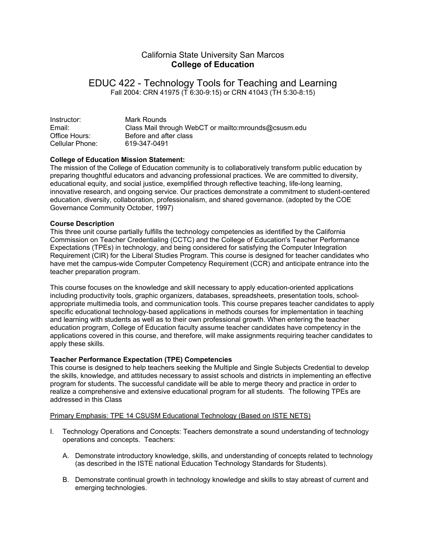# California State University San Marcos **College of Education**

# EDUC 422 - Technology Tools for Teaching and Learning Fall 2004: CRN 41975 (T 6:30-9:15) or CRN 41043 (TH 5:30-8:15)

Instructor: Mark Rounds Email: Class Mail through WebCT or mailto:mrounds@csusm.edu Office Hours: Before and after class Cellular Phone: 619-347-0491

# **College of Education Mission Statement:**

The mission of the College of Education community is to collaboratively transform public education by preparing thoughtful educators and advancing professional practices. We are committed to diversity, educational equity, and social justice, exemplified through reflective teaching, life-long learning, innovative research, and ongoing service. Our practices demonstrate a commitment to student-centered education, diversity, collaboration, professionalism, and shared governance. (adopted by the COE Governance Community October, 1997)

#### **Course Description**

This three unit course partially fulfills the technology competencies as identified by the California Commission on Teacher Credentialing (CCTC) and the College of Education's Teacher Performance Expectations (TPEs) in technology, and being considered for satisfying the Computer Integration Requirement (CIR) for the Liberal Studies Program. This course is designed for teacher candidates who have met the campus-wide Computer Competency Requirement (CCR) and anticipate entrance into the teacher preparation program.

This course focuses on the knowledge and skill necessary to apply education-oriented applications including productivity tools, graphic organizers, databases, spreadsheets, presentation tools, schoolappropriate multimedia tools, and communication tools. This course prepares teacher candidates to apply specific educational technology-based applications in methods courses for implementation in teaching and learning with students as well as to their own professional growth. When entering the teacher education program, College of Education faculty assume teacher candidates have competency in the applications covered in this course, and therefore, will make assignments requiring teacher candidates to apply these skills.

#### **Teacher Performance Expectation (TPE) Competencies**

This course is designed to help teachers seeking the Multiple and Single Subjects Credential to develop the skills, knowledge, and attitudes necessary to assist schools and districts in implementing an effective program for students. The successful candidate will be able to merge theory and practice in order to realize a comprehensive and extensive educational program for all students. The following TPEs are addressed in this Class

#### Primary Emphasis: TPE 14 CSUSM Educational Technology (Based on ISTE NETS)

- I. Technology Operations and Concepts: Teachers demonstrate a sound understanding of technology operations and concepts. Teachers:
	- A. Demonstrate introductory knowledge, skills, and understanding of concepts related to technology (as described in the ISTE national Education Technology Standards for Students).
	- B. Demonstrate continual growth in technology knowledge and skills to stay abreast of current and emerging technologies.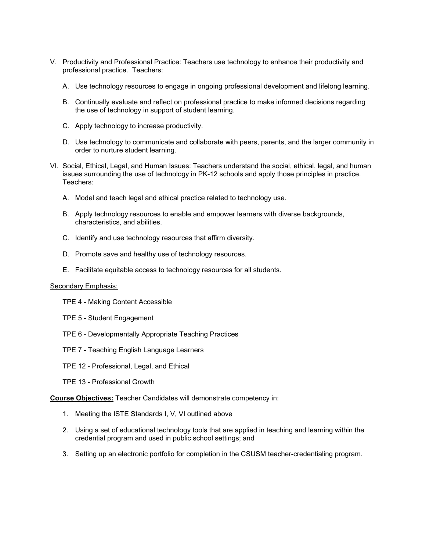- V. Productivity and Professional Practice: Teachers use technology to enhance their productivity and professional practice. Teachers:
	- A. Use technology resources to engage in ongoing professional development and lifelong learning.
	- B. Continually evaluate and reflect on professional practice to make informed decisions regarding the use of technology in support of student learning.
	- C. Apply technology to increase productivity.
	- D. Use technology to communicate and collaborate with peers, parents, and the larger community in order to nurture student learning.
- VI. Social, Ethical, Legal, and Human Issues: Teachers understand the social, ethical, legal, and human issues surrounding the use of technology in PK-12 schools and apply those principles in practice. Teachers:
	- A. Model and teach legal and ethical practice related to technology use.
	- B. Apply technology resources to enable and empower learners with diverse backgrounds, characteristics, and abilities.
	- C. Identify and use technology resources that affirm diversity.
	- D. Promote save and healthy use of technology resources.
	- E. Facilitate equitable access to technology resources for all students.

#### Secondary Emphasis:

- TPE 4 Making Content Accessible
- TPE 5 Student Engagement
- TPE 6 Developmentally Appropriate Teaching Practices
- TPE 7 Teaching English Language Learners
- TPE 12 Professional, Legal, and Ethical
- TPE 13 Professional Growth

**Course Objectives:** Teacher Candidates will demonstrate competency in:

- 1. Meeting the ISTE Standards I, V, VI outlined above
- 2. Using a set of educational technology tools that are applied in teaching and learning within the credential program and used in public school settings; and
- 3. Setting up an electronic portfolio for completion in the CSUSM teacher-credentialing program.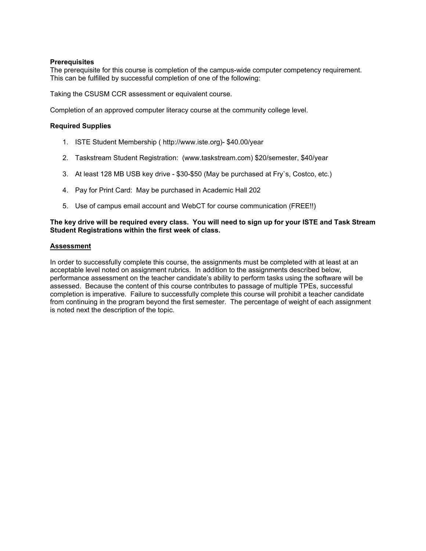## **Prerequisites**

The prerequisite for this course is completion of the campus-wide computer competency requirement. This can be fulfilled by successful completion of one of the following:

Taking the CSUSM CCR assessment or equivalent course.

Completion of an approved computer literacy course at the community college level.

## **Required Supplies**

- 1. ISTE Student Membership ( http://www.iste.org)- \$40.00/year
- 2. Taskstream Student Registration: (www.taskstream.com) \$20/semester, \$40/year
- 3. At least 128 MB USB key drive \$30-\$50 (May be purchased at Fry`s, Costco, etc.)
- 4. Pay for Print Card: May be purchased in Academic Hall 202
- 5. Use of campus email account and WebCT for course communication (FREE!!)

## **The key drive will be required every class. You will need to sign up for your ISTE and Task Stream Student Registrations within the first week of class.**

#### **Assessment**

In order to successfully complete this course, the assignments must be completed with at least at an acceptable level noted on assignment rubrics. In addition to the assignments described below, performance assessment on the teacher candidate's ability to perform tasks using the software will be assessed. Because the content of this course contributes to passage of multiple TPEs, successful completion is imperative. Failure to successfully complete this course will prohibit a teacher candidate from continuing in the program beyond the first semester. The percentage of weight of each assignment is noted next the description of the topic.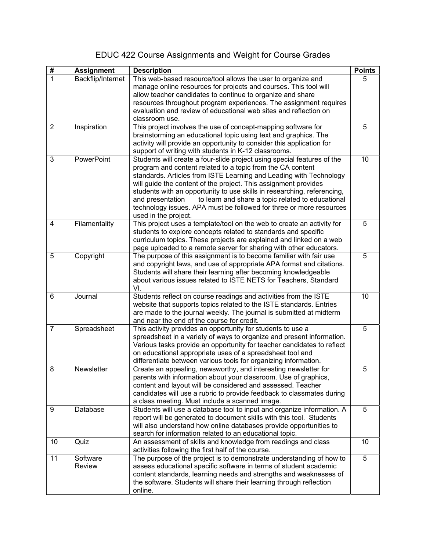# EDUC 422 Course Assignments and Weight for Course Grades

| #              | <b>Assignment</b>         | <b>Description</b>                                                                                                                                                                                                                                                                                                                                                                                                                                                                                                                |    |  |
|----------------|---------------------------|-----------------------------------------------------------------------------------------------------------------------------------------------------------------------------------------------------------------------------------------------------------------------------------------------------------------------------------------------------------------------------------------------------------------------------------------------------------------------------------------------------------------------------------|----|--|
| $\mathbf{1}$   | Backflip/Internet         | This web-based resource/tool allows the user to organize and<br>manage online resources for projects and courses. This tool will<br>allow teacher candidates to continue to organize and share<br>resources throughout program experiences. The assignment requires<br>evaluation and review of educational web sites and reflection on<br>classroom use.                                                                                                                                                                         |    |  |
| $\overline{2}$ | Inspiration               | This project involves the use of concept-mapping software for<br>brainstorming an educational topic using text and graphics. The<br>activity will provide an opportunity to consider this application for<br>support of writing with students in K-12 classrooms.                                                                                                                                                                                                                                                                 |    |  |
| 3              | PowerPoint                | Students will create a four-slide project using special features of the<br>program and content related to a topic from the CA content<br>standards. Articles from ISTE Learning and Leading with Technology<br>will guide the content of the project. This assignment provides<br>students with an opportunity to use skills in researching, referencing,<br>to learn and share a topic related to educational<br>and presentation<br>technology issues. APA must be followed for three or more resources<br>used in the project. | 10 |  |
| 4              | Filamentality             | This project uses a template/tool on the web to create an activity for<br>students to explore concepts related to standards and specific<br>curriculum topics. These projects are explained and linked on a web<br>page uploaded to a remote server for sharing with other educators.                                                                                                                                                                                                                                             | 5  |  |
| 5              | Copyright                 | The purpose of this assignment is to become familiar with fair use<br>and copyright laws, and use of appropriate APA format and citations.<br>Students will share their learning after becoming knowledgeable<br>about various issues related to ISTE NETS for Teachers, Standard<br>VI.                                                                                                                                                                                                                                          |    |  |
| 6              | Journal                   | Students reflect on course readings and activities from the ISTE<br>website that supports topics related to the ISTE standards. Entries<br>are made to the journal weekly. The journal is submitted at midterm<br>and near the end of the course for credit.                                                                                                                                                                                                                                                                      |    |  |
| $\overline{7}$ | Spreadsheet               | This activity provides an opportunity for students to use a<br>spreadsheet in a variety of ways to organize and present information.<br>Various tasks provide an opportunity for teacher candidates to reflect<br>on educational appropriate uses of a spreadsheet tool and<br>differentiate between various tools for organizing information.                                                                                                                                                                                    | 5  |  |
| 8              | Newsletter                | Create an appealing, newsworthy, and interesting newsletter for<br>parents with information about your classroom. Use of graphics,<br>content and layout will be considered and assessed. Teacher<br>candidates will use a rubric to provide feedback to classmates during<br>a class meeting. Must include a scanned image.                                                                                                                                                                                                      | 5  |  |
| 9              | Database                  | Students will use a database tool to input and organize information. A<br>report will be generated to document skills with this tool. Students<br>will also understand how online databases provide opportunities to<br>search for information related to an educational topic.                                                                                                                                                                                                                                                   | 5  |  |
| 10             | Quiz                      | An assessment of skills and knowledge from readings and class<br>activities following the first half of the course.                                                                                                                                                                                                                                                                                                                                                                                                               | 10 |  |
| 11             | Software<br><b>Review</b> | The purpose of the project is to demonstrate understanding of how to<br>assess educational specific software in terms of student academic<br>content standards, learning needs and strengths and weaknesses of<br>the software. Students will share their learning through reflection<br>online.                                                                                                                                                                                                                                  | 5  |  |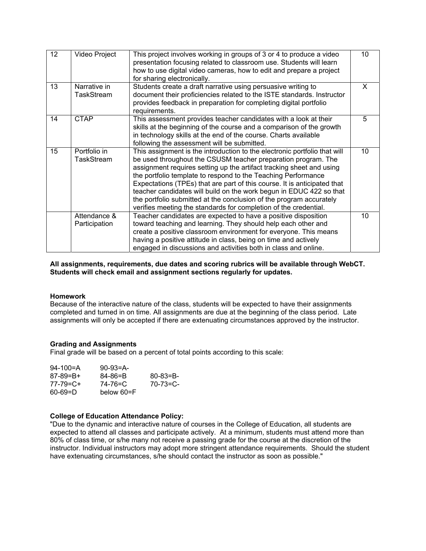| 12 <sup>2</sup> | <b>Video Project</b>          | This project involves working in groups of 3 or 4 to produce a video<br>presentation focusing related to classroom use. Students will learn<br>how to use digital video cameras, how to edit and prepare a project<br>for sharing electronically.                                                                                                                                                                                                                                                                                                                                 | 10 |
|-----------------|-------------------------------|-----------------------------------------------------------------------------------------------------------------------------------------------------------------------------------------------------------------------------------------------------------------------------------------------------------------------------------------------------------------------------------------------------------------------------------------------------------------------------------------------------------------------------------------------------------------------------------|----|
| 13              | Narrative in<br>TaskStream    | Students create a draft narrative using persuasive writing to<br>document their proficiencies related to the ISTE standards. Instructor<br>provides feedback in preparation for completing digital portfolio<br>requirements.                                                                                                                                                                                                                                                                                                                                                     | X. |
| 14              | <b>CTAP</b>                   | This assessment provides teacher candidates with a look at their<br>skills at the beginning of the course and a comparison of the growth<br>in technology skills at the end of the course. Charts available<br>following the assessment will be submitted.                                                                                                                                                                                                                                                                                                                        |    |
| 15              | Portfolio in<br>TaskStream    | This assignment is the introduction to the electronic portfolio that will<br>be used throughout the CSUSM teacher preparation program. The<br>assignment requires setting up the artifact tracking sheet and using<br>the portfolio template to respond to the Teaching Performance<br>Expectations (TPEs) that are part of this course. It is anticipated that<br>teacher candidates will build on the work begun in EDUC 422 so that<br>the portfolio submitted at the conclusion of the program accurately<br>verifies meeting the standards for completion of the credential. | 10 |
|                 | Attendance &<br>Participation | Teacher candidates are expected to have a positive disposition<br>toward teaching and learning. They should help each other and<br>create a positive classroom environment for everyone. This means<br>having a positive attitude in class, being on time and actively<br>engaged in discussions and activities both in class and online.                                                                                                                                                                                                                                         | 10 |

**All assignments, requirements, due dates and scoring rubrics will be available through WebCT. Students will check email and assignment sections regularly for updates.** 

#### **Homework**

Because of the interactive nature of the class, students will be expected to have their assignments completed and turned in on time. All assignments are due at the beginning of the class period. Late assignments will only be accepted if there are extenuating circumstances approved by the instructor.

#### **Grading and Assignments**

Final grade will be based on a percent of total points according to this scale:

| $94 - 100 = A$  | $90-93=$ A- |                 |
|-----------------|-------------|-----------------|
| $87 - 89 = B +$ | 84-86=B     | $80 - 83 = B -$ |
| 77-79=C+        | 74-76=C     | $70 - 73 = C -$ |
| $60 - 69 = D$   | below 60=F  |                 |

#### **College of Education Attendance Policy:**

"Due to the dynamic and interactive nature of courses in the College of Education, all students are expected to attend all classes and participate actively. At a minimum, students must attend more than 80% of class time, or s/he many not receive a passing grade for the course at the discretion of the instructor. Individual instructors may adopt more stringent attendance requirements. Should the student have extenuating circumstances, s/he should contact the instructor as soon as possible."